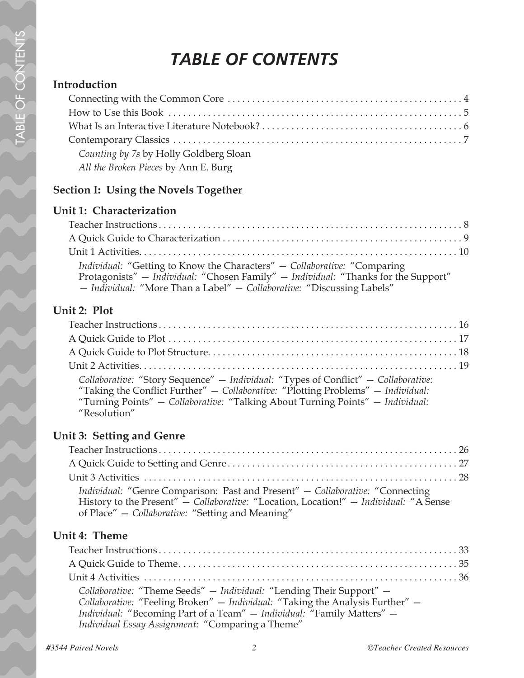### *TABLE OF CONTENTS*

#### **Introduction**

| Counting by 7s by Holly Goldberg Sloan |  |
|----------------------------------------|--|
| All the Broken Pieces by Ann E. Burg   |  |

#### **Section I: Using the Novels Together**

#### **Unit 1: Characterization**

| Individual: "Getting to Know the Characters" - Collaborative: "Comparing           |  |
|------------------------------------------------------------------------------------|--|
| Protagonists" - Individual: "Chosen Family" - Individual: "Thanks for the Support" |  |
| - Individual: "More Than a Label" - Collaborative: "Discussing Labels"             |  |

#### **Unit 2: Plot**

| Collaborative: "Story Sequence" - Individual: "Types of Conflict" - Collaborative:<br>"Taking the Conflict Further" - Collaborative: "Plotting Problems" - Individual:<br>"Turning Points" - Collaborative: "Talking About Turning Points" - Individual:<br>"Resolution" |  |
|--------------------------------------------------------------------------------------------------------------------------------------------------------------------------------------------------------------------------------------------------------------------------|--|

#### **Unit 3: Setting and Genre**

| Individual: "Genre Comparison: Past and Present" - Collaborative: "Connecting<br>History to the Present" - Collaborative: "Location, Location!" - Individual: "A Sense<br>of Place" – Collaborative: "Setting and Meaning" |  |
|----------------------------------------------------------------------------------------------------------------------------------------------------------------------------------------------------------------------------|--|

#### **Unit 4: Theme**

| Collaborative: "Theme Seeds" - Individual: "Lending Their Support" -<br>Collaborative: "Feeling Broken" - Individual: "Taking the Analysis Further" -<br>Individual: "Becoming Part of a Team" - Individual: "Family Matters" -<br>Individual Essay Assignment: "Comparing a Theme" |
|-------------------------------------------------------------------------------------------------------------------------------------------------------------------------------------------------------------------------------------------------------------------------------------|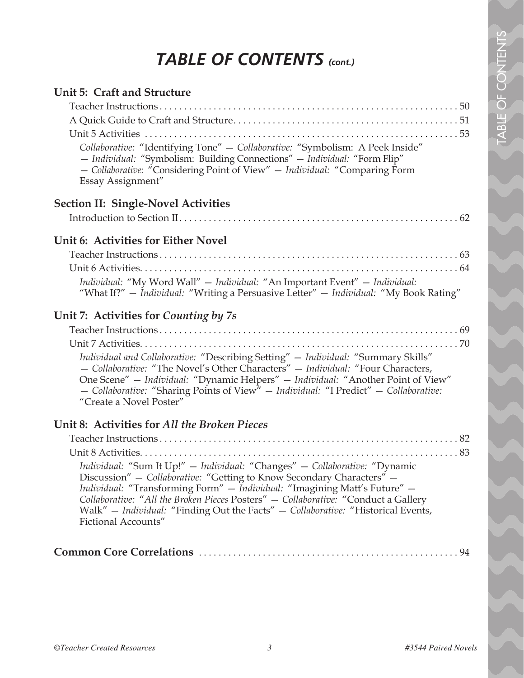### *TABLE OF CONTENTS (cont.)*

| Unit 5: Craft and Structure<br>Collaborative: "Identifying Tone" - Collaborative: "Symbolism: A Peek Inside"<br>- Individual: "Symbolism: Building Connections" - Individual: "Form Flip"<br>- Collaborative: "Considering Point of View" - Individual: "Comparing Form<br>Essay Assignment"                                                                                                                                      |
|-----------------------------------------------------------------------------------------------------------------------------------------------------------------------------------------------------------------------------------------------------------------------------------------------------------------------------------------------------------------------------------------------------------------------------------|
| <b>Section II: Single-Novel Activities</b>                                                                                                                                                                                                                                                                                                                                                                                        |
|                                                                                                                                                                                                                                                                                                                                                                                                                                   |
| Unit 6: Activities for Either Novel                                                                                                                                                                                                                                                                                                                                                                                               |
| Individual: "My Word Wall" - Individual: "An Important Event" - Individual:<br>"What If?" — Individual: "Writing a Persuasive Letter" — Individual: "My Book Rating"                                                                                                                                                                                                                                                              |
| Unit 7: Activities for Counting by 7s                                                                                                                                                                                                                                                                                                                                                                                             |
| Individual and Collaborative: "Describing Setting" - Individual: "Summary Skills"<br>- Collaborative: "The Novel's Other Characters" - Individual: "Four Characters,<br>One Scene" - Individual: "Dynamic Helpers" - Individual: "Another Point of View"<br>- Collaborative: "Sharing Points of View" - Individual: "I Predict" - Collaborative:<br>"Create a Novel Poster"                                                       |
| Unit 8: Activities for All the Broken Pieces                                                                                                                                                                                                                                                                                                                                                                                      |
| Individual: "Sum It Up!" - Individual: "Changes" - Collaborative: "Dynamic<br>Discussion" - Collaborative: "Getting to Know Secondary Characters" -<br>Individual: "Transforming Form" - Individual: "Imagining Matt's Future" -<br>Collaborative: "All the Broken Pieces Posters" - Collaborative: "Conduct a Gallery<br>Walk" - Individual: "Finding Out the Facts" - Collaborative: "Historical Events,<br>Fictional Accounts" |
|                                                                                                                                                                                                                                                                                                                                                                                                                                   |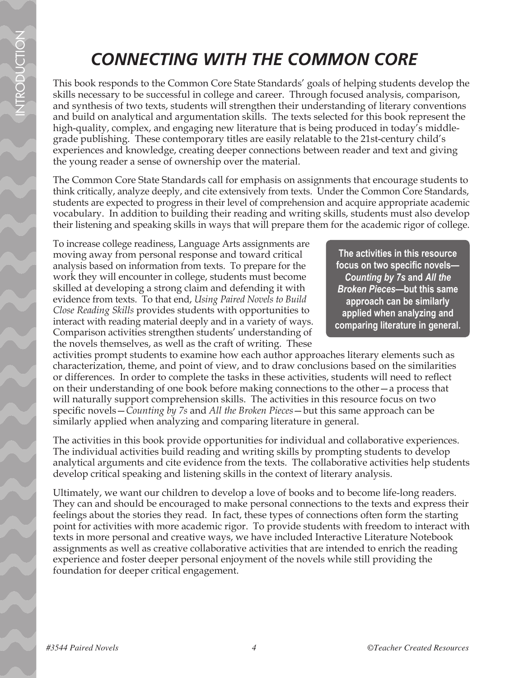### *CONNECTING WITH THE COMMON CORE*

This book responds to the Common Core State Standards' goals of helping students develop the skills necessary to be successful in college and career. Through focused analysis, comparison, and synthesis of two texts, students will strengthen their understanding of literary conventions and build on analytical and argumentation skills. The texts selected for this book represent the high-quality, complex, and engaging new literature that is being produced in today's middlegrade publishing. These contemporary titles are easily relatable to the 21st-century child's experiences and knowledge, creating deeper connections between reader and text and giving the young reader a sense of ownership over the material.

The Common Core State Standards call for emphasis on assignments that encourage students to think critically, analyze deeply, and cite extensively from texts. Under the Common Core Standards, students are expected to progress in their level of comprehension and acquire appropriate academic vocabulary. In addition to building their reading and writing skills, students must also develop their listening and speaking skills in ways that will prepare them for the academic rigor of college.

To increase college readiness, Language Arts assignments are moving away from personal response and toward critical analysis based on information from texts. To prepare for the work they will encounter in college, students must become skilled at developing a strong claim and defending it with evidence from texts. To that end, *Using Paired Novels to Build Close Reading Skills* provides students with opportunities to interact with reading material deeply and in a variety of ways. Comparison activities strengthen students' understanding of the novels themselves, as well as the craft of writing. These

**The activities in this resource focus on two specific novels—** *Counting by 7s* **and** *All the Broken Pieces***—but this same approach can be similarly applied when analyzing and comparing literature in general.**

activities prompt students to examine how each author approaches literary elements such as characterization, theme, and point of view, and to draw conclusions based on the similarities or differences. In order to complete the tasks in these activities, students will need to reflect on their understanding of one book before making connections to the other—a process that will naturally support comprehension skills. The activities in this resource focus on two specific novels—*Counting by 7s* and *All the Broken Pieces*—but this same approach can be similarly applied when analyzing and comparing literature in general.

The activities in this book provide opportunities for individual and collaborative experiences. The individual activities build reading and writing skills by prompting students to develop analytical arguments and cite evidence from the texts. The collaborative activities help students develop critical speaking and listening skills in the context of literary analysis.

Ultimately, we want our children to develop a love of books and to become life-long readers. They can and should be encouraged to make personal connections to the texts and express their feelings about the stories they read. In fact, these types of connections often form the starting point for activities with more academic rigor. To provide students with freedom to interact with texts in more personal and creative ways, we have included Interactive Literature Notebook assignments as well as creative collaborative activities that are intended to enrich the reading experience and foster deeper personal enjoyment of the novels while still providing the foundation for deeper critical engagement.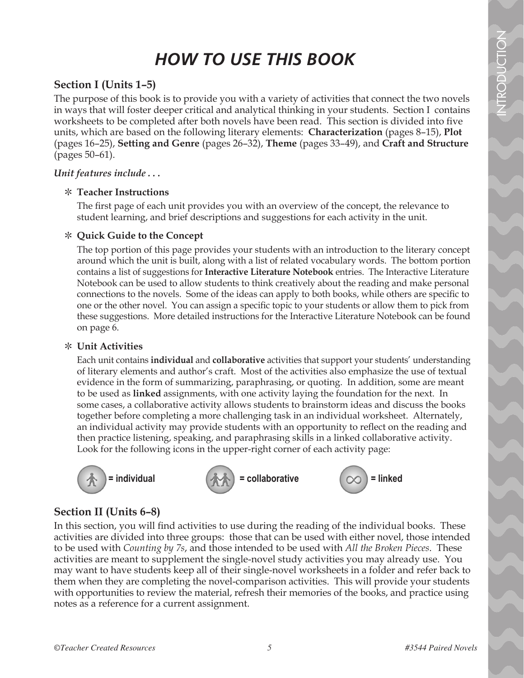### *HOW TO USE THIS BOOK*

#### **Section I (Units 1–5)**

The purpose of this book is to provide you with a variety of activities that connect the two novels in ways that will foster deeper critical and analytical thinking in your students. Section I contains worksheets to be completed after both novels have been read. This section is divided into five units, which are based on the following literary elements: **Characterization** (pages 8–15), **Plot** (pages 16–25), **Setting and Genre** (pages 26–32), **Theme** (pages 33–49), and **Craft and Structure** (pages 50–61).

#### *Unit features include . . .*

#### \ **Teacher Instructions**

The first page of each unit provides you with an overview of the concept, the relevance to student learning, and brief descriptions and suggestions for each activity in the unit.

#### \ **Quick Guide to the Concept**

The top portion of this page provides your students with an introduction to the literary concept around which the unit is built, along with a list of related vocabulary words. The bottom portion contains a list of suggestions for **Interactive Literature Notebook** entries. The Interactive Literature Notebook can be used to allow students to think creatively about the reading and make personal connections to the novels. Some of the ideas can apply to both books, while others are specific to one or the other novel. You can assign a specific topic to your students or allow them to pick from these suggestions. More detailed instructions for the Interactive Literature Notebook can be found on page 6.

#### \ **Unit Activities**

Each unit contains **individual** and **collaborative** activities that support your students' understanding of literary elements and author's craft. Most of the activities also emphasize the use of textual evidence in the form of summarizing, paraphrasing, or quoting. In addition, some are meant to be used as **linked** assignments, with one activity laying the foundation for the next. In some cases, a collaborative activity allows students to brainstorm ideas and discuss the books together before completing a more challenging task in an individual worksheet. Alternately, an individual activity may provide students with an opportunity to reflect on the reading and then practice listening, speaking, and paraphrasing skills in a linked collaborative activity. Look for the following icons in the upper-right corner of each activity page:



 $=$  individual  $\langle A \rangle =$  collaborative  $\langle \rangle$  = linked



#### **Section II (Units 6–8)**

In this section, you will find activities to use during the reading of the individual books. These activities are divided into three groups: those that can be used with either novel, those intended to be used with *Counting by 7s*, and those intended to be used with *All the Broken Pieces*. These activities are meant to supplement the single-novel study activities you may already use. You may want to have students keep all of their single-novel worksheets in a folder and refer back to them when they are completing the novel-comparison activities. This will provide your students with opportunities to review the material, refresh their memories of the books, and practice using notes as a reference for a current assignment.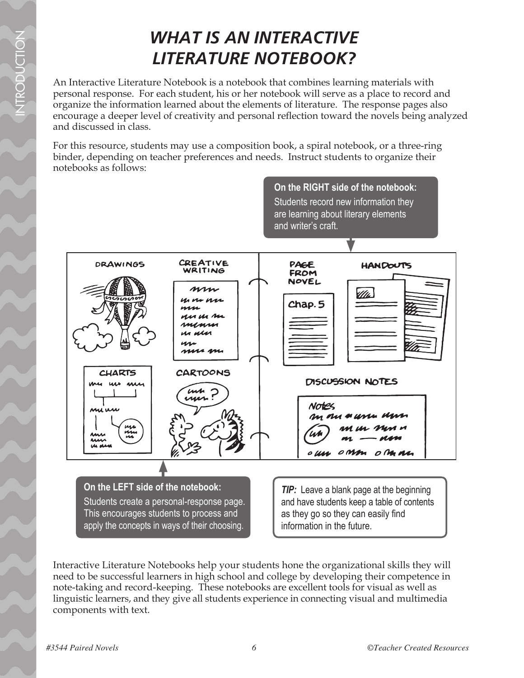### *WHAT IS AN INTERACTIVE LITERATURE NOTEBOOK?*

An Interactive Literature Notebook is a notebook that combines learning materials with personal response. For each student, his or her notebook will serve as a place to record and organize the information learned about the elements of literature. The response pages also encourage a deeper level of creativity and personal reflection toward the novels being analyzed and discussed in class.

For this resource, students may use a composition book, a spiral notebook, or a three-ring binder, depending on teacher preferences and needs. Instruct students to organize their notebooks as follows:



Interactive Literature Notebooks help your students hone the organizational skills they will need to be successful learners in high school and college by developing their competence in note-taking and record-keeping. These notebooks are excellent tools for visual as well as linguistic learners, and they give all students experience in connecting visual and multimedia components with text.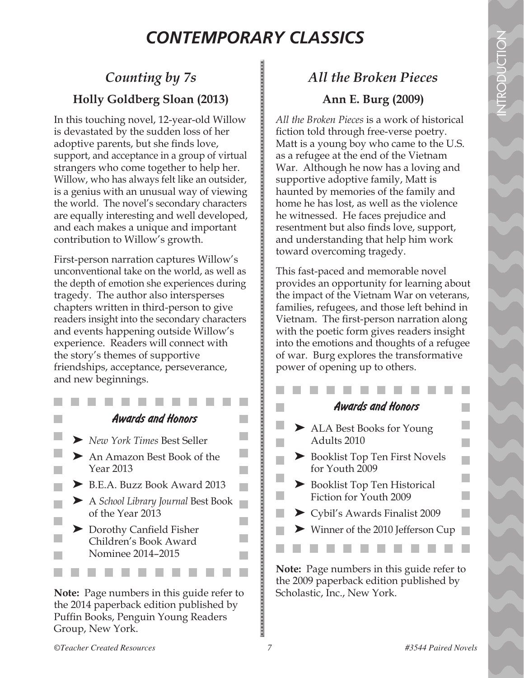$\mathcal{L}_{\mathcal{A}}$ 

H.

 $\mathbb{R}^n$ 

P.

### *CONTEMPORARY CLASSICS*

### *Counting by 7s* **Holly Goldberg Sloan (2013)**

In this touching novel, 12-year-old Willow is devastated by the sudden loss of her adoptive parents, but she finds love, support, and acceptance in a group of virtual strangers who come together to help her. Willow, who has always felt like an outsider, is a genius with an unusual way of viewing the world. The novel's secondary characters are equally interesting and well developed, and each makes a unique and important contribution to Willow's growth.

First-person narration captures Willow's unconventional take on the world, as well as the depth of emotion she experiences during tragedy. The author also intersperses chapters written in third-person to give readers insight into the secondary characters and events happening outside Willow's experience. Readers will connect with the story's themes of supportive friendships, acceptance, perseverance, and new beginnings.

- - *Awards and Honors*
- ➤ *New York Times* Best Seller
- ➤ An Amazon Best Book of the Year 2013
- ► B.E.A. Buzz Book Award 2013
- ➤ A *School Library Journal* Best Book of the Year 2013
- ➤ Dorothy Canfield Fisher Children's Book Award Nominee 2014–2015

**Note:** Page numbers in this guide refer to the 2014 paperback edition published by Puffin Books, Penguin Young Readers Group, New York.

### *All the Broken Pieces* **Ann E. Burg (2009)**

*All the Broken Pieces* is a work of historical fiction told through free-verse poetry. Matt is a young boy who came to the U.S. as a refugee at the end of the Vietnam War. Although he now has a loving and supportive adoptive family, Matt is haunted by memories of the family and home he has lost, as well as the violence he witnessed. He faces prejudice and resentment but also finds love, support, and understanding that help him work toward overcoming tragedy.

This fast-paced and memorable novel provides an opportunity for learning about the impact of the Vietnam War on veterans, families, refugees, and those left behind in Vietnam. The first-person narration along with the poetic form gives readers insight into the emotions and thoughts of a refugee of war. Burg explores the transformative power of opening up to others.

#### **College** *Awards and Honors*

- ➤ ALA Best Books for Young Adults 2010
- ➤ Booklist Top Ten First Novels for Youth 2009
- ➤ Booklist Top Ten Historical Fiction for Youth 2009

a a

m.

p.

- ➤ Cybil's Awards Finalist 2009
- ➤ Winner of the 2010 Jefferson Cup  $\mathcal{L}^{\text{max}}$

**Note:** Page numbers in this guide refer to the 2009 paperback edition published by Scholastic, Inc., New York.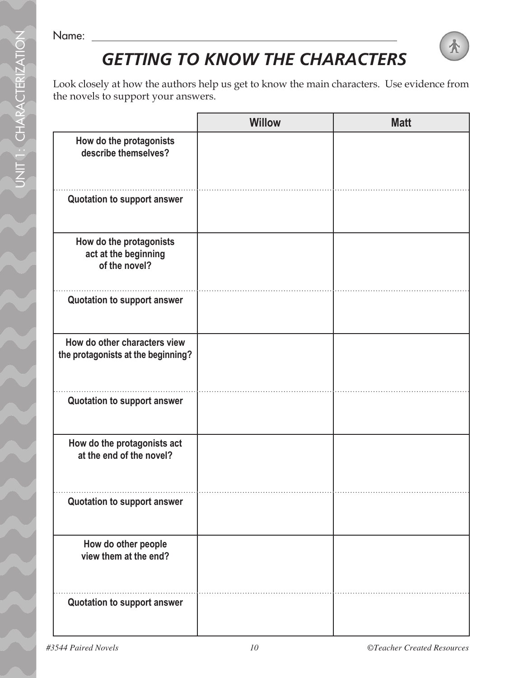Name:

# *GETTING TO KNOW THE CHARACTERS*

Look closely at how the authors help us get to know the main characters. Use evidence from the novels to support your answers.

|                                                                    | <b>Willow</b> | <b>Matt</b> |
|--------------------------------------------------------------------|---------------|-------------|
| How do the protagonists<br>describe themselves?                    |               |             |
| Quotation to support answer                                        |               |             |
| How do the protagonists<br>act at the beginning<br>of the novel?   |               |             |
| <b>Quotation to support answer</b>                                 |               |             |
| How do other characters view<br>the protagonists at the beginning? |               |             |
| Quotation to support answer                                        |               |             |
| How do the protagonists act<br>at the end of the novel?            |               |             |
| Quotation to support answer                                        |               |             |
| How do other people<br>view them at the end?                       |               |             |
| Quotation to support answer                                        |               |             |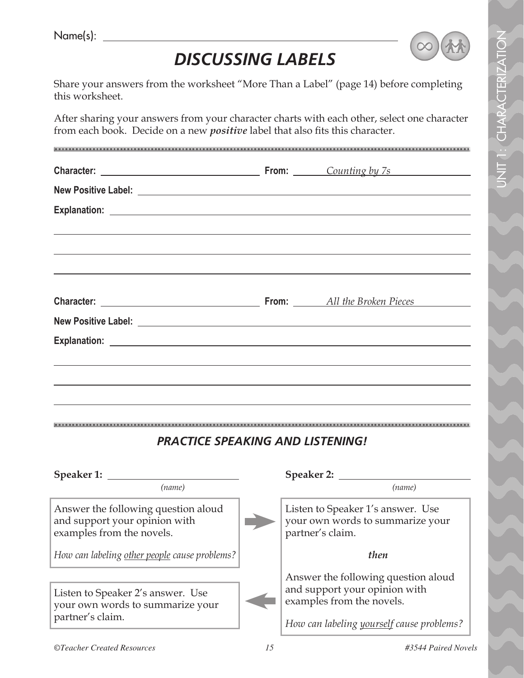| Name(s): |  |
|----------|--|
|          |  |



UNIT 1: CHARACTERIZATION nit 1: Characterization

# *DISCUSSING LABELS*

Share your answers from the worksheet "More Than a Label" (page 14) before completing this worksheet.

After sharing your answers from your character charts with each other, select one character from each book. Decide on a new *positive* label that also fits this character.

| <b>PRACTICE SPEAKING AND LISTENING!</b>                                                           |                                                                                                   |
|---------------------------------------------------------------------------------------------------|---------------------------------------------------------------------------------------------------|
|                                                                                                   |                                                                                                   |
| (name)                                                                                            | (name)                                                                                            |
| Answer the following question aloud<br>and support your opinion with<br>examples from the novels. | Listen to Speaker 1's answer. Use<br>your own words to summarize your<br>partner's claim.         |
| How can labeling other people cause problems?                                                     | then                                                                                              |
| Listen to Speaker 2's answer. Use<br>your own words to summarize your<br>partner's claim.         | Answer the following question aloud<br>and support your opinion with<br>examples from the novels. |
|                                                                                                   | How can labeling yourself cause problems?                                                         |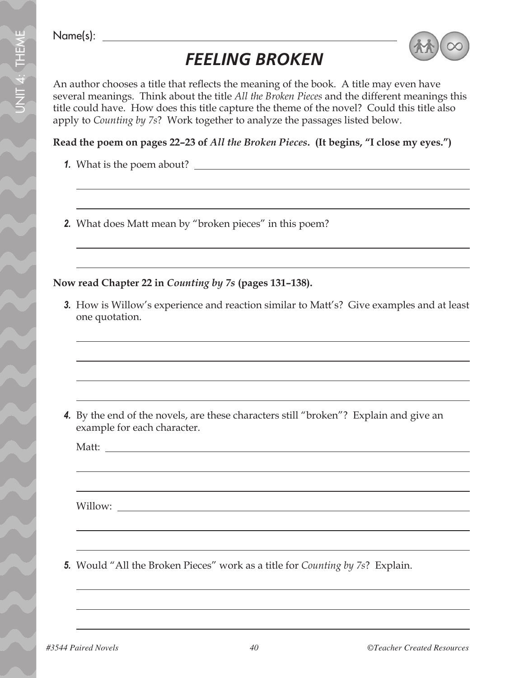Name(s):

# *FEELING BROKEN*



An author chooses a title that reflects the meaning of the book. A title may even have several meanings. Think about the title *All the Broken Pieces* and the different meanings this title could have. How does this title capture the theme of the novel? Could this title also apply to *Counting by 7s*? Work together to analyze the passages listed below.

#### **Read the poem on pages 22–23 of** *All the Broken Pieces***. (It begins, "I close my eyes.")**

- *1.* What is the poem about?
- *2.* What does Matt mean by "broken pieces" in this poem?

#### **Now read Chapter 22 in** *Counting by 7s* **(pages 131–138).**

*3.* How is Willow's experience and reaction similar to Matt's? Give examples and at least one quotation.

*4.* By the end of the novels, are these characters still "broken"? Explain and give an example for each character.

Matt:

Willow:

*5.* Would "All the Broken Pieces" work as a title for *Counting by 7s*? Explain.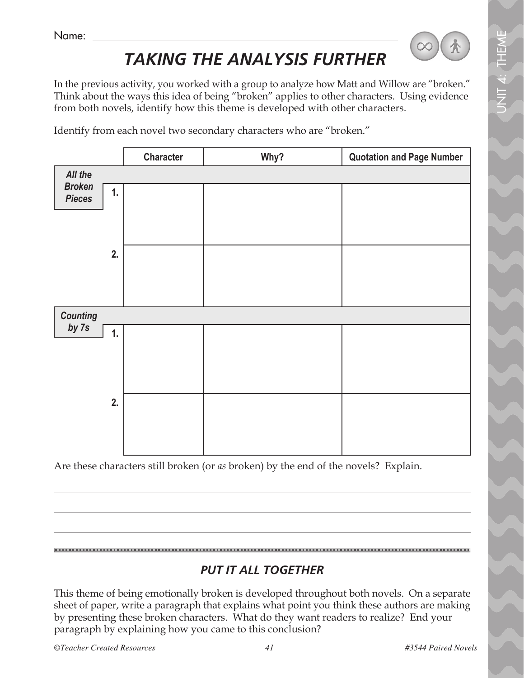Name:

# *TAKING THE ANALYSIS FURTHER*

In the previous activity, you worked with a group to analyze how Matt and Willow are "broken." Think about the ways this idea of being "broken" applies to other characters. Using evidence from both novels, identify how this theme is developed with other characters.

Identify from each novel two secondary characters who are "broken."



Are these characters still broken (or *as* broken) by the end of the novels? Explain.

### *PUT IT ALL TOGETHER*

This theme of being emotionally broken is developed throughout both novels. On a separate sheet of paper, write a paragraph that explains what point you think these authors are making by presenting these broken characters. What do they want readers to realize? End your paragraph by explaining how you came to this conclusion?

*©Teacher Created Resources 41 #3544 Paired Novels*